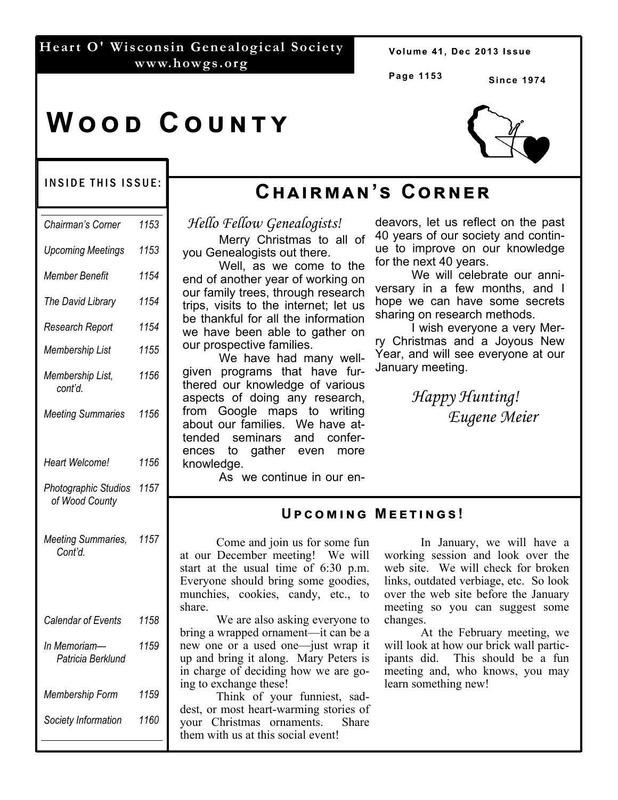#### **Heart O' Wisconsin Genealogical Society www.howgs.org**

Volume 41, Dec 2013 Issue

**Page 1153**

**Since 1974** 

# **WOOD COUNTY**

#### INSIDE THIS ISSUE:

| Chairman's Corner                      | 1153 |
|----------------------------------------|------|
| <b>Upcoming Meetings</b>               | 1153 |
| Member Benefit                         | 1154 |
| The David Library                      | 1154 |
| Research Report                        | 1154 |
| Membership List                        | 1155 |
| Membership List,<br>cont'd.            | 1156 |
| <b>Meeting Summaries</b>               | 1156 |
|                                        |      |
| Heart Welcome!                         | 1156 |
| Photographic Studios<br>of Wood County | 1157 |
| Meeting Summaries,<br>Cont'd.          | 1157 |
|                                        |      |
| Calendar of Events                     | 1158 |
| In Memoriam-<br>Patricia Berklund      | 1159 |
| Membership Form                        | 1159 |
| Society Information                    | 1160 |

# **Cඐඉඑකඕඉඖ'ඛ Cකඖඍක**

*Hello Fellow Genealogists!* 

 Merry Christmas to all of you Genealogists out there.

 Well, as we come to the end of another year of working on our family trees, through research trips, visits to the internet; let us be thankful for all the information we have been able to gather on our prospective families.

 We have had many wellgiven programs that have furthered our knowledge of various aspects of doing any research, from Google maps to writing about our families. We have attended seminars and conferences to gather even more knowledge.

deavors, let us reflect on the past 40 years of our society and continue to improve on our knowledge for the next 40 years.

We will celebrate our anniversary in a few months, and I hope we can have some secrets sharing on research methods.

 I wish everyone a very Merry Christmas and a Joyous New Year, and will see everyone at our January meeting.

> *Happy Hunting! Eugene Meier*

#### As we continue in our en-

#### **UPCOMING MEETINGS!**

 Come and join us for some fun at our December meeting! We will start at the usual time of 6:30 p.m. Everyone should bring some goodies, munchies, cookies, candy, etc., to share.

 We are also asking everyone to bring a wrapped ornament—it can be a new one or a used one—just wrap it up and bring it along. Mary Peters is in charge of deciding how we are going to exchange these!

 Think of your funniest, saddest, or most heart-warming stories of your Christmas ornaments. Share them with us at this social event!

 In January, we will have a working session and look over the web site. We will check for broken links, outdated verbiage, etc. So look over the web site before the January meeting so you can suggest some changes.

 At the February meeting, we will look at how our brick wall participants did. This should be a fun meeting and, who knows, you may learn something new!

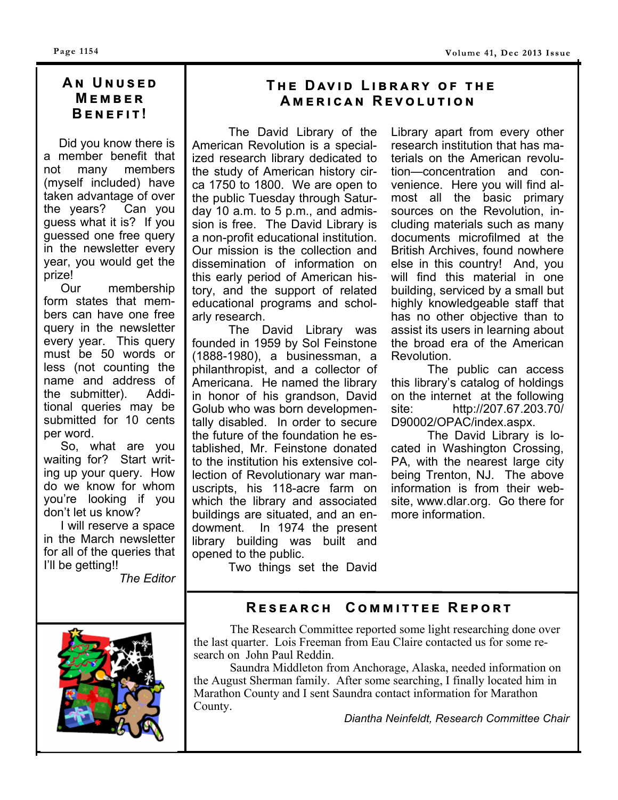#### **A ඖ U ඖඝඛඍඌ M E**MBER **BENEFIT!**

 Did you know there is a member benefit that not many members (myself included) have taken advantage of over the years? Can you guess what it is? If you guessed one free query in the newsletter every year, you would get the prize!

 Our membership form states that members can have one free query in the newsletter every year. This query must be 50 words or less (not counting the name and address of the submitter). Additional queries may be submitted for 10 cents per word.

 So, what are you waiting for? Start writing up your query. How do we know for whom you're looking if you don't let us know?

 I will reserve a space in the March newsletter for all of the queries that I'll be getting!!

*The Editor* 

## $THE$  DAVID LIBRARY OF THE **AMERICAN REVOLUTION**

 The David Library of the American Revolution is a specialized research library dedicated to the study of American history circa 1750 to 1800. We are open to the public Tuesday through Saturday 10 a.m. to 5 p.m., and admission is free. The David Library is a non-profit educational institution. Our mission is the collection and dissemination of information on this early period of American history, and the support of related educational programs and scholarly research.

 The David Library was founded in 1959 by Sol Feinstone (1888-1980), a businessman, a philanthropist, and a collector of Americana. He named the library in honor of his grandson, David Golub who was born developmentally disabled. In order to secure the future of the foundation he established, Mr. Feinstone donated to the institution his extensive collection of Revolutionary war manuscripts, his 118-acre farm on which the library and associated buildings are situated, and an endowment. In 1974 the present library building was built and opened to the public.

Library apart from every other research institution that has materials on the American revolution—concentration and convenience. Here you will find almost all the basic primary sources on the Revolution, including materials such as many documents microfilmed at the British Archives, found nowhere else in this country! And, you will find this material in one building, serviced by a small but highly knowledgeable staff that has no other objective than to assist its users in learning about the broad era of the American Revolution.

 The public can access this library's catalog of holdings on the internet at the following site: http://207.67.203.70/ D90002/OPAC/index.aspx.

 The David Library is located in Washington Crossing, PA, with the nearest large city being Trenton, NJ. The above information is from their website, www.dlar.org. Go there for more information.

Two things set the David

## **RESEARCH COMMITTEE REPORT**



 The Research Committee reported some light researching done over the last quarter. Lois Freeman from Eau Claire contacted us for some research on John Paul Reddin.

 Saundra Middleton from Anchorage, Alaska, needed information on the August Sherman family. After some searching, I finally located him in Marathon County and I sent Saundra contact information for Marathon County.

*Diantha Neinfeldt, Research Committee Chair*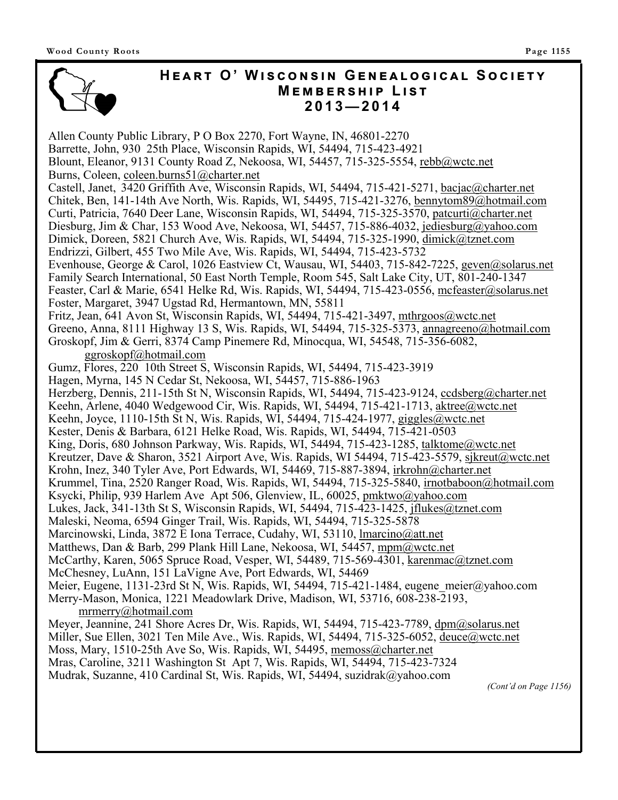## $H$ **EART O' WISCONSIN GENEALOGICAL SOCIETY**  $M$ **EMBERSHIP LIST 2013—2014**

Allen County Public Library, P O Box 2270, Fort Wayne, IN, 46801-2270 Barrette, John, 930 25th Place, Wisconsin Rapids, WI, 54494, 715-423-4921 Blount, Eleanor, 9131 County Road Z, Nekoosa, WI, 54457, 715-325-5554, rebb@wctc.net Burns, Coleen, coleen.burns51@charter.net Castell, Janet, 3420 Griffith Ave, Wisconsin Rapids, WI, 54494, 715-421-5271, bacjac@charter.net Chitek, Ben, 141-14th Ave North, Wis. Rapids, WI, 54495, 715-421-3276, bennytom89@hotmail.com Curti, Patricia, 7640 Deer Lane, Wisconsin Rapids, WI, 54494, 715-325-3570, patcurti@charter.net Diesburg, Jim & Char, 153 Wood Ave, Nekoosa, WI, 54457, 715-886-4032, jediesburg@yahoo.com Dimick, Doreen, 5821 Church Ave, Wis. Rapids, WI, 54494, 715-325-1990, dimick@tznet.com Endrizzi, Gilbert, 455 Two Mile Ave, Wis. Rapids, WI, 54494, 715-423-5732 Evenhouse, George & Carol, 1026 Eastview Ct, Wausau, WI, 54403, 715-842-7225, geven@solarus.net Family Search International, 50 East North Temple, Room 545, Salt Lake City, UT, 801-240-1347 Feaster, Carl & Marie, 6541 Helke Rd, Wis. Rapids, WI, 54494, 715-423-0556, mcfeaster@solarus.net Foster, Margaret, 3947 Ugstad Rd, Hermantown, MN, 55811 Fritz, Jean, 641 Avon St, Wisconsin Rapids, WI, 54494, 715-421-3497, mthrgoos@wctc.net Greeno, Anna, 8111 Highway 13 S, Wis. Rapids, WI, 54494, 715-325-5373, annagreeno@hotmail.com Groskopf, Jim & Gerri, 8374 Camp Pinemere Rd, Minocqua, WI, 54548, 715-356-6082, ggroskopf@hotmail.com Gumz, Flores, 220 10th Street S, Wisconsin Rapids, WI, 54494, 715-423-3919 Hagen, Myrna, 145 N Cedar St, Nekoosa, WI, 54457, 715-886-1963 Herzberg, Dennis, 211-15th St N, Wisconsin Rapids, WI, 54494, 715-423-9124, constructed methods of Herzberg and Muslim and Muslim and Muslim and Muslim and Muslim and Muslim and Muslim and Muslim and Muslim and Muslim and Keehn, Arlene, 4040 Wedgewood Cir, Wis. Rapids, WI, 54494, 715-421-1713, aktree@wctc.net Keehn, Joyce, 1110-15th St N, Wis. Rapids, WI, 54494, 715-424-1977, giggles@wctc.net Kester, Denis & Barbara, 6121 Helke Road, Wis. Rapids, WI, 54494, 715-421-0503 King, Doris, 680 Johnson Parkway, Wis. Rapids, WI, 54494, 715-423-1285, talktome@wctc.net Kreutzer, Dave & Sharon, 3521 Airport Ave, Wis. Rapids, WI 54494, 715-423-5579, sjkreut@wctc.net Krohn, Inez, 340 Tyler Ave, Port Edwards, WI, 54469, 715-887-3894, irkrohn@charter.net Krummel, Tina, 2520 Ranger Road, Wis. Rapids, WI, 54494, 715-325-5840, irnotbaboon@hotmail.com Ksycki, Philip, 939 Harlem Ave Apt 506, Glenview, IL, 60025, pmktwo@yahoo.com Lukes, Jack, 341-13th St S, Wisconsin Rapids, WI, 54494, 715-423-1425, jflukes@tznet.com Maleski, Neoma, 6594 Ginger Trail, Wis. Rapids, WI, 54494, 715-325-5878 Marcinowski, Linda, 3872 E Iona Terrace, Cudahy, WI, 53110, lmarcino@att.net Matthews, Dan & Barb, 299 Plank Hill Lane, Nekoosa, WI, 54457, mpm@wctc.net McCarthy, Karen, 5065 Spruce Road, Vesper, WI, 54489, 715-569-4301, karenmac@tznet.com McChesney, LuAnn, 151 LaVigne Ave, Port Edwards, WI, 54469 Meier, Eugene, 1131-23rd St N, Wis. Rapids, WI, 54494, 715-421-1484, eugene meier@yahoo.com Merry-Mason, Monica, 1221 Meadowlark Drive, Madison, WI, 53716, 608-238-2193, mrmerry@hotmail.com Meyer, Jeannine, 241 Shore Acres Dr, Wis. Rapids, WI, 54494, 715-423-7789, dpm@solarus.net Miller, Sue Ellen, 3021 Ten Mile Ave., Wis. Rapids, WI, 54494, 715-325-6052, deuce@wctc.net

Moss, Mary, 1510-25th Ave So, Wis. Rapids, WI, 54495, memoss@charter.net

Mras, Caroline, 3211 Washington St Apt 7, Wis. Rapids, WI, 54494, 715-423-7324

Mudrak, Suzanne, 410 Cardinal St, Wis. Rapids, WI, 54494, suzidrak@yahoo.com

*(Cont'd on Page 1156)*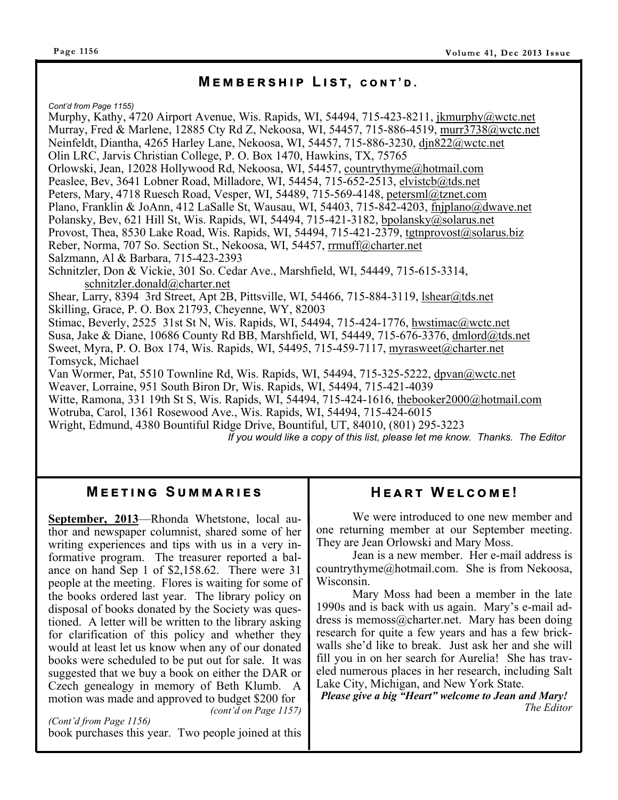#### $M$  **E** M B E R S H I P L I S T, CONT'D.

*Cont'd from Page 1155)* 

Murphy, Kathy, 4720 Airport Avenue, Wis. Rapids, WI, 54494, 715-423-8211, jkmurphy@wctc.net Murray, Fred & Marlene, 12885 Cty Rd Z, Nekoosa, WI, 54457, 715-886-4519, murr3738@wctc.net Neinfeldt, Diantha, 4265 Harley Lane, Nekoosa, WI, 54457, 715-886-3230, djn822@wctc.net Olin LRC, Jarvis Christian College, P. O. Box 1470, Hawkins, TX, 75765 Orlowski, Jean, 12028 Hollywood Rd, Nekoosa, WI, 54457, countrythyme@hotmail.com Peaslee, Bev, 3641 Lobner Road, Milladore, WI, 54454, 715-652-2513, elvistcb@tds.net Peters, Mary, 4718 Ruesch Road, Vesper, WI, 54489, 715-569-4148, petersml@tznet.com Plano, Franklin & JoAnn, 412 LaSalle St, Wausau, WI, 54403, 715-842-4203, fnjplano@dwave.net Polansky, Bev, 621 Hill St, Wis. Rapids, WI, 54494, 715-421-3182, bpolansky@solarus.net Provost, Thea, 8530 Lake Road, Wis. Rapids, WI, 54494, 715-421-2379, tgtnprovost@solarus.biz Reber, Norma, 707 So. Section St., Nekoosa, WI, 54457, rrmuff@charter.net Salzmann, Al & Barbara, 715-423-2393 Schnitzler, Don & Vickie, 301 So. Cedar Ave., Marshfield, WI, 54449, 715-615-3314, schnitzler.donald@charter.net Shear, Larry, 8394 3rd Street, Apt 2B, Pittsville, WI, 54466, 715-884-3119, lshear@tds.net Skilling, Grace, P. O. Box 21793, Cheyenne, WY, 82003 Stimac, Beverly, 2525 31st St N, Wis. Rapids, WI, 54494, 715-424-1776, hwstimac@wctc.net Susa, Jake & Diane, 10686 County Rd BB, Marshfield, WI, 54449, 715-676-3376, dmlord@tds.net Sweet, Myra, P. O. Box 174, Wis. Rapids, WI, 54495, 715-459-7117, myrasweet@charter.net Tomsyck, Michael Van Wormer, Pat, 5510 Townline Rd, Wis. Rapids, WI, 54494, 715-325-5222, dpvan@wctc.net Weaver, Lorraine, 951 South Biron Dr, Wis. Rapids, WI, 54494, 715-421-4039 Witte, Ramona, 331 19th St S, Wis. Rapids, WI, 54494, 715-424-1616, thebooker2000@hotmail.com Wotruba, Carol, 1361 Rosewood Ave., Wis. Rapids, WI, 54494, 715-424-6015 Wright, Edmund, 4380 Bountiful Ridge Drive, Bountiful, UT, 84010, (801) 295-3223 *If you would like a copy of this list, please let me know. Thanks. The Editor*

#### **MEETING SUMMARIES**

**September, 2013**—Rhonda Whetstone, local author and newspaper columnist, shared some of her writing experiences and tips with us in a very informative program. The treasurer reported a balance on hand Sep 1 of \$2,158.62. There were 31 people at the meeting. Flores is waiting for some of the books ordered last year. The library policy on disposal of books donated by the Society was questioned. A letter will be written to the library asking for clarification of this policy and whether they would at least let us know when any of our donated books were scheduled to be put out for sale. It was suggested that we buy a book on either the DAR or Czech genealogy in memory of Beth Klumb. A motion was made and approved to budget \$200 for

*(cont'd on Page 1157) (Cont'd from Page 1156)*  book purchases this year. Two people joined at this

## $HEART WELCOME!$

 We were introduced to one new member and one returning member at our September meeting. They are Jean Orlowski and Mary Moss.

 Jean is a new member. Her e-mail address is countrythyme@hotmail.com. She is from Nekoosa, Wisconsin.

 Mary Moss had been a member in the late 1990s and is back with us again. Mary's e-mail address is memoss@charter.net. Mary has been doing research for quite a few years and has a few brickwalls she'd like to break. Just ask her and she will fill you in on her search for Aurelia! She has traveled numerous places in her research, including Salt Lake City, Michigan, and New York State.

*Please give a big "Heart" welcome to Jean and Mary! The Editor*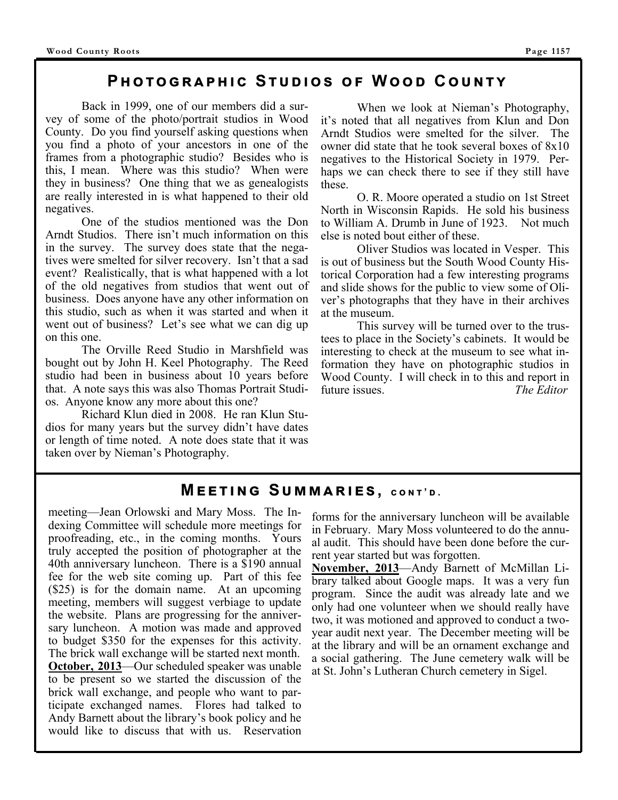### **Pඐගඏකඉඐඑඋ Sගඝඌඑඛ ඎ Wඌ Cඝඖගඡ**

 Back in 1999, one of our members did a survey of some of the photo/portrait studios in Wood County. Do you find yourself asking questions when you find a photo of your ancestors in one of the frames from a photographic studio? Besides who is this, I mean. Where was this studio? When were they in business? One thing that we as genealogists are really interested in is what happened to their old negatives.

 One of the studios mentioned was the Don Arndt Studios. There isn't much information on this in the survey. The survey does state that the negatives were smelted for silver recovery. Isn't that a sad event? Realistically, that is what happened with a lot of the old negatives from studios that went out of business. Does anyone have any other information on this studio, such as when it was started and when it went out of business? Let's see what we can dig up on this one.

 The Orville Reed Studio in Marshfield was bought out by John H. Keel Photography. The Reed studio had been in business about 10 years before that. A note says this was also Thomas Portrait Studios. Anyone know any more about this one?

 Richard Klun died in 2008. He ran Klun Studios for many years but the survey didn't have dates or length of time noted. A note does state that it was taken over by Nieman's Photography.

 When we look at Nieman's Photography, it's noted that all negatives from Klun and Don Arndt Studios were smelted for the silver. The owner did state that he took several boxes of 8x10 negatives to the Historical Society in 1979. Perhaps we can check there to see if they still have these.

 O. R. Moore operated a studio on 1st Street North in Wisconsin Rapids. He sold his business to William A. Drumb in June of 1923. Not much else is noted bout either of these.

 Oliver Studios was located in Vesper. This is out of business but the South Wood County Historical Corporation had a few interesting programs and slide shows for the public to view some of Oliver's photographs that they have in their archives at the museum.

 This survey will be turned over to the trustees to place in the Society's cabinets. It would be interesting to check at the museum to see what information they have on photographic studios in Wood County. I will check in to this and report in future issues. *The Editor*

#### $M$  **EETING** SUMMARIES, CONT'D.

meeting—Jean Orlowski and Mary Moss. The Indexing Committee will schedule more meetings for proofreading, etc., in the coming months. Yours truly accepted the position of photographer at the 40th anniversary luncheon. There is a \$190 annual fee for the web site coming up. Part of this fee (\$25) is for the domain name. At an upcoming meeting, members will suggest verbiage to update the website. Plans are progressing for the anniversary luncheon. A motion was made and approved to budget \$350 for the expenses for this activity. The brick wall exchange will be started next month. **October, 2013**—Our scheduled speaker was unable to be present so we started the discussion of the brick wall exchange, and people who want to participate exchanged names. Flores had talked to Andy Barnett about the library's book policy and he would like to discuss that with us. Reservation

forms for the anniversary luncheon will be available in February. Mary Moss volunteered to do the annual audit. This should have been done before the current year started but was forgotten.

**November, 2013**—Andy Barnett of McMillan Library talked about Google maps. It was a very fun program. Since the audit was already late and we only had one volunteer when we should really have two, it was motioned and approved to conduct a twoyear audit next year. The December meeting will be at the library and will be an ornament exchange and a social gathering. The June cemetery walk will be at St. John's Lutheran Church cemetery in Sigel.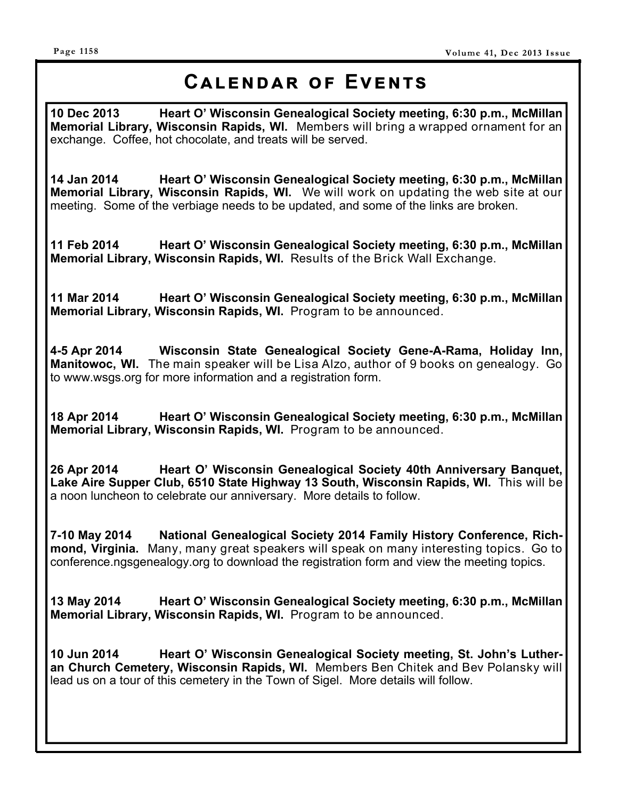# CALENDAR OF EVENTS

**10 Dec 2013 Heart O' Wisconsin Genealogical Society meeting, 6:30 p.m., McMillan Memorial Library, Wisconsin Rapids, WI.** Members will bring a wrapped ornament for an exchange. Coffee, hot chocolate, and treats will be served.

**14 Jan 2014 Heart O' Wisconsin Genealogical Society meeting, 6:30 p.m., McMillan Memorial Library, Wisconsin Rapids, WI.** We will work on updating the web site at our meeting. Some of the verbiage needs to be updated, and some of the links are broken.

**11 Feb 2014 Heart O' Wisconsin Genealogical Society meeting, 6:30 p.m., McMillan Memorial Library, Wisconsin Rapids, WI.** Results of the Brick Wall Exchange.

**11 Mar 2014 Heart O' Wisconsin Genealogical Society meeting, 6:30 p.m., McMillan Memorial Library, Wisconsin Rapids, WI.** Program to be announced.

**4-5 Apr 2014 Wisconsin State Genealogical Society Gene-A-Rama, Holiday Inn, Manitowoc, WI.** The main speaker will be Lisa Alzo, author of 9 books on genealogy. Go to www.wsgs.org for more information and a registration form.

**18 Apr 2014 Heart O' Wisconsin Genealogical Society meeting, 6:30 p.m., McMillan Memorial Library, Wisconsin Rapids, WI.** Program to be announced.

**26 Apr 2014 Heart O' Wisconsin Genealogical Society 40th Anniversary Banquet,**  Lake Aire Supper Club, 6510 State Highway 13 South, Wisconsin Rapids, WI. This will be a noon luncheon to celebrate our anniversary. More details to follow.

**7-10 May 2014 National Genealogical Society 2014 Family History Conference, Richmond, Virginia.** Many, many great speakers will speak on many interesting topics. Go to conference.ngsgenealogy.org to download the registration form and view the meeting topics.

**13 May 2014 Heart O' Wisconsin Genealogical Society meeting, 6:30 p.m., McMillan Memorial Library, Wisconsin Rapids, WI.** Program to be announced.

**10 Jun 2014 Heart O' Wisconsin Genealogical Society meeting, St. John's Lutheran Church Cemetery, Wisconsin Rapids, WI.** Members Ben Chitek and Bev Polansky will lead us on a tour of this cemetery in the Town of Sigel. More details will follow.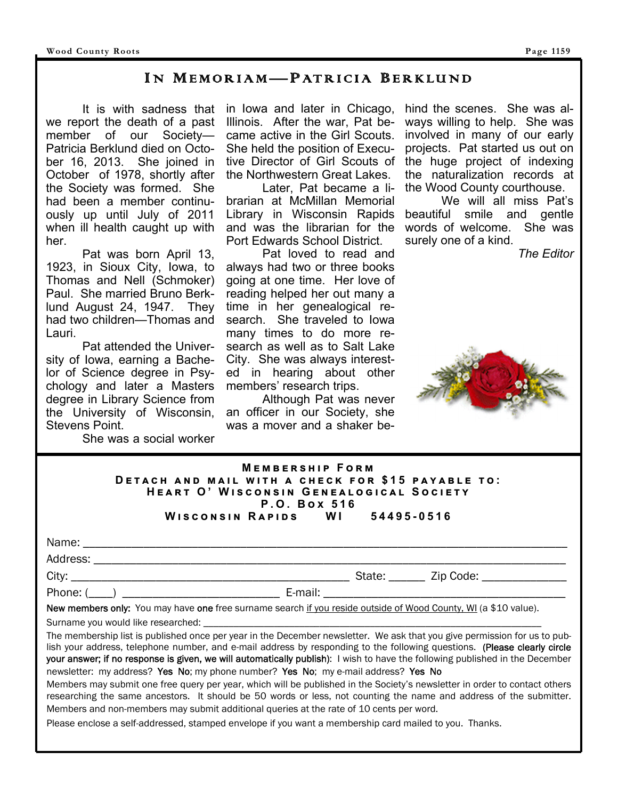#### IN MEMORIAM— PATRICIA BERKLUND

 It is with sadness that we report the death of a past member of our Society— Patricia Berklund died on October 16, 2013. She joined in October of 1978, shortly after the Society was formed. She had been a member continuously up until July of 2011 when ill health caught up with her.

 Pat was born April 13, 1923, in Sioux City, Iowa, to Thomas and Nell (Schmoker) Paul. She married Bruno Berklund August 24, 1947. They had two children—Thomas and Lauri.

 Pat attended the University of Iowa, earning a Bachelor of Science degree in Psychology and later a Masters degree in Library Science from the University of Wisconsin, Stevens Point.

She was a social worker

in Iowa and later in Chicago, Illinois. After the war, Pat became active in the Girl Scouts. She held the position of Executive Director of Girl Scouts of the Northwestern Great Lakes.

 Later, Pat became a librarian at McMillan Memorial Library in Wisconsin Rapids and was the librarian for the Port Edwards School District.

 Pat loved to read and always had two or three books going at one time. Her love of reading helped her out many a time in her genealogical research. She traveled to Iowa many times to do more research as well as to Salt Lake City. She was always interested in hearing about other members' research trips.

 Although Pat was never an officer in our Society, she was a mover and a shaker behind the scenes. She was always willing to help. She was involved in many of our early projects. Pat started us out on the huge project of indexing the naturalization records at the Wood County courthouse.

 We will all miss Pat's beautiful smile and gentle words of welcome. She was surely one of a kind.

*The Editor*



#### $M$ **EMBERSHIP FORM DETACH AND MAIL WITH A CHECK FOR \$15 PAYABLE TO:**  $H$ **EART O' WISCONSIN GENEALOGICAL SOCIETY P.O. Box 516**<br>APIDS WI **W එඛඋඖඛඑඖ R ඉඑඌඛ WI 54495-0516**

|                                                                                                                                                                                                                                   | State: _______ Zip Code: ______________ |  |
|-----------------------------------------------------------------------------------------------------------------------------------------------------------------------------------------------------------------------------------|-----------------------------------------|--|
|                                                                                                                                                                                                                                   |                                         |  |
| New members only: You may have one free surname search if you reside outside of Wood County, WI (a \$10 value).                                                                                                                   |                                         |  |
| $\bullet$ and the contract of the contract of the contract of the contract of the contract of the contract of the contract of the contract of the contract of the contract of the contract of the contract of the contract of the |                                         |  |

Surname you would like researched: \_

The membership list is published once per year in the December newsletter. We ask that you give permission for us to publish your address, telephone number, and e-mail address by responding to the following questions. (Please clearly circle your answer; if no response is given, we will automatically publish): I wish to have the following published in the December newsletter: my address? Yes No; my phone number? Yes No; my e-mail address? Yes No

Members may submit one free query per year, which will be published in the Society's newsletter in order to contact others researching the same ancestors. It should be 50 words or less, not counting the name and address of the submitter. Members and non-members may submit additional queries at the rate of 10 cents per word.

Please enclose a self-addressed, stamped envelope if you want a membership card mailed to you. Thanks.